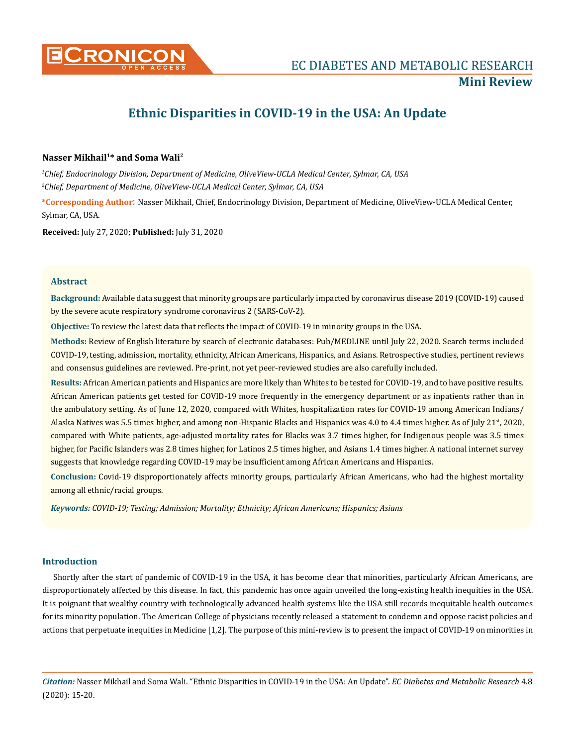

# **Ethnic Disparities in COVID-19 in the USA: An Update**

# **Nasser Mikhail1\* and Soma Wali2**

*1 Chief, Endocrinology Division, Department of Medicine, OliveView-UCLA Medical Center, Sylmar, CA, USA 2 Chief, Department of Medicine, OliveView-UCLA Medical Center, Sylmar, CA, USA*

**\*Corresponding Author**: Nasser Mikhail, Chief, Endocrinology Division, Department of Medicine, OliveView-UCLA Medical Center, Sylmar, CA, USA.

**Received:** July 27, 2020; **Published:** July 31, 2020

## **Abstract**

**Background:** Available data suggest that minority groups are particularly impacted by coronavirus disease 2019 (COVID-19) caused by the severe acute respiratory syndrome coronavirus 2 (SARS-CoV-2).

**Objective:** To review the latest data that reflects the impact of COVID-19 in minority groups in the USA.

**Methods:** Review of English literature by search of electronic databases: Pub/MEDLINE until July 22, 2020. Search terms included COVID-19, testing, admission, mortality, ethnicity, African Americans, Hispanics, and Asians. Retrospective studies, pertinent reviews and consensus guidelines are reviewed. Pre-print, not yet peer-reviewed studies are also carefully included.

**Results:** African American patients and Hispanics are more likely than Whites to be tested for COVID-19, and to have positive results. African American patients get tested for COVID-19 more frequently in the emergency department or as inpatients rather than in the ambulatory setting. As of June 12, 2020, compared with Whites, hospitalization rates for COVID-19 among American Indians/ Alaska Natives was 5.5 times higher, and among non-Hispanic Blacks and Hispanics was 4.0 to 4.4 times higher. As of July 21st, 2020, compared with White patients, age-adjusted mortality rates for Blacks was 3.7 times higher, for Indigenous people was 3.5 times higher, for Pacific Islanders was 2.8 times higher, for Latinos 2.5 times higher, and Asians 1.4 times higher. A national internet survey suggests that knowledge regarding COVID-19 may be insufficient among African Americans and Hispanics.

**Conclusion:** Covid-19 disproportionately affects minority groups, particularly African Americans, who had the highest mortality among all ethnic/racial groups.

*Keywords: COVID-19; Testing; Admission; Mortality; Ethnicity; African Americans; Hispanics; Asians*

# **Introduction**

Shortly after the start of pandemic of COVID-19 in the USA, it has become clear that minorities, particularly African Americans, are disproportionately affected by this disease. In fact, this pandemic has once again unveiled the long-existing health inequities in the USA. It is poignant that wealthy country with technologically advanced health systems like the USA still records inequitable health outcomes for its minority population. The American College of physicians recently released a statement to condemn and oppose racist policies and actions that perpetuate inequities in Medicine [1,2]. The purpose of this mini-review is to present the impact of COVID-19 on minorities in

*Citation:* Nasser Mikhail and Soma Wali. "Ethnic Disparities in COVID-19 in the USA: An Update". *EC Diabetes and Metabolic Research* 4.8 (2020): 15-20.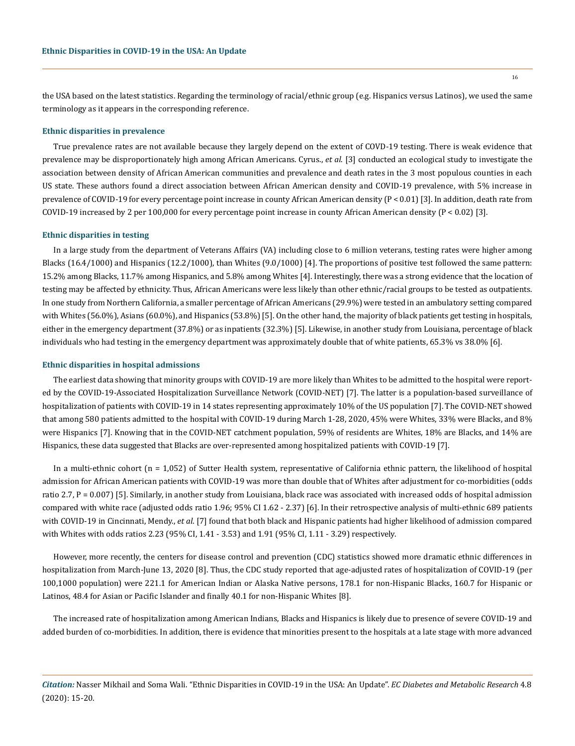the USA based on the latest statistics. Regarding the terminology of racial/ethnic group (e.g. Hispanics versus Latinos), we used the same terminology as it appears in the corresponding reference.

#### **Ethnic disparities in prevalence**

True prevalence rates are not available because they largely depend on the extent of COVD-19 testing. There is weak evidence that prevalence may be disproportionately high among African Americans. Cyrus., *et al*. [3] conducted an ecological study to investigate the association between density of African American communities and prevalence and death rates in the 3 most populous counties in each US state. These authors found a direct association between African American density and COVID-19 prevalence, with 5% increase in prevalence of COVID-19 for every percentage point increase in county African American density (P < 0.01) [3]. In addition, death rate from COVID-19 increased by 2 per 100,000 for every percentage point increase in county African American density (P < 0.02) [3].

#### **Ethnic disparities in testing**

In a large study from the department of Veterans Affairs (VA) including close to 6 million veterans, testing rates were higher among Blacks (16.4/1000) and Hispanics (12.2/1000), than Whites (9.0/1000) [4]. The proportions of positive test followed the same pattern: 15.2% among Blacks, 11.7% among Hispanics, and 5.8% among Whites [4]. Interestingly, there was a strong evidence that the location of testing may be affected by ethnicity. Thus, African Americans were less likely than other ethnic/racial groups to be tested as outpatients. In one study from Northern California, a smaller percentage of African Americans (29.9%) were tested in an ambulatory setting compared with Whites (56.0%), Asians (60.0%), and Hispanics (53.8%) [5]. On the other hand, the majority of black patients get testing in hospitals, either in the emergency department (37.8%) or as inpatients (32.3%) [5]. Likewise, in another study from Louisiana, percentage of black individuals who had testing in the emergency department was approximately double that of white patients, 65.3% vs 38.0% [6].

#### **Ethnic disparities in hospital admissions**

The earliest data showing that minority groups with COVID-19 are more likely than Whites to be admitted to the hospital were reported by the COVID-19-Associated Hospitalization Surveillance Network (COVID-NET) [7]. The latter is a population-based surveillance of hospitalization of patients with COVID-19 in 14 states representing approximately 10% of the US population [7]. The COVID-NET showed that among 580 patients admitted to the hospital with COVID-19 during March 1-28, 2020, 45% were Whites, 33% were Blacks, and 8% were Hispanics [7]. Knowing that in the COVID-NET catchment population, 59% of residents are Whites, 18% are Blacks, and 14% are Hispanics, these data suggested that Blacks are over-represented among hospitalized patients with COVID-19 [7].

In a multi-ethnic cohort (n = 1,052) of Sutter Health system, representative of California ethnic pattern, the likelihood of hospital admission for African American patients with COVID-19 was more than double that of Whites after adjustment for co-morbidities (odds ratio 2.7, P = 0.007) [5]. Similarly, in another study from Louisiana, black race was associated with increased odds of hospital admission compared with white race (adjusted odds ratio 1.96; 95% CI 1.62 - 2.37) [6]. In their retrospective analysis of multi-ethnic 689 patients with COVID-19 in Cincinnati, Mendy., *et al*. [7] found that both black and Hispanic patients had higher likelihood of admission compared with Whites with odds ratios 2.23 (95% CI, 1.41 - 3.53) and 1.91 (95% CI, 1.11 - 3.29) respectively.

However, more recently, the centers for disease control and prevention (CDC) statistics showed more dramatic ethnic differences in hospitalization from March-June 13, 2020 [8]. Thus, the CDC study reported that age-adjusted rates of hospitalization of COVID-19 (per 100,1000 population) were 221.1 for American Indian or Alaska Native persons, 178.1 for non-Hispanic Blacks, 160.7 for Hispanic or Latinos, 48.4 for Asian or Pacific Islander and finally 40.1 for non-Hispanic Whites [8].

The increased rate of hospitalization among American Indians, Blacks and Hispanics is likely due to presence of severe COVID-19 and added burden of co-morbidities. In addition, there is evidence that minorities present to the hospitals at a late stage with more advanced

16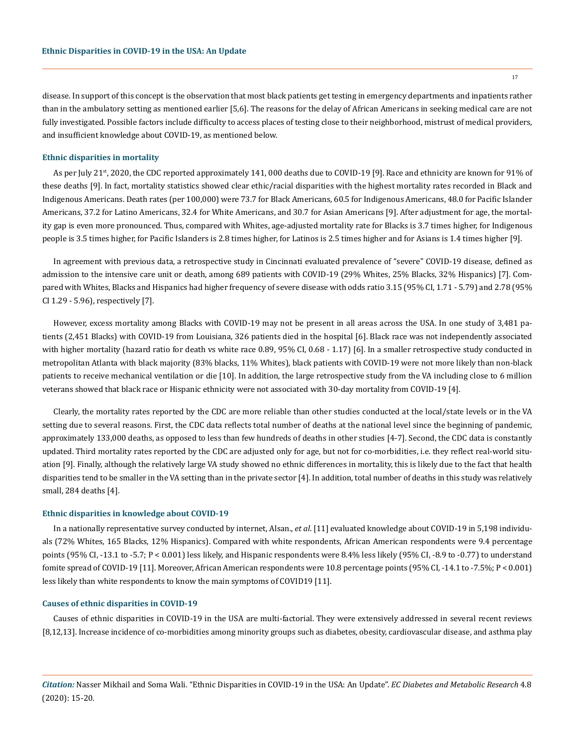disease. In support of this concept is the observation that most black patients get testing in emergency departments and inpatients rather than in the ambulatory setting as mentioned earlier [5,6]. The reasons for the delay of African Americans in seeking medical care are not fully investigated. Possible factors include difficulty to access places of testing close to their neighborhood, mistrust of medical providers, and insufficient knowledge about COVID-19, as mentioned below.

#### **Ethnic disparities in mortality**

As per July 21<sup>st</sup>, 2020, the CDC reported approximately 141, 000 deaths due to COVID-19 [9]. Race and ethnicity are known for 91% of these deaths [9]. In fact, mortality statistics showed clear ethic/racial disparities with the highest mortality rates recorded in Black and Indigenous Americans. Death rates (per 100,000) were 73.7 for Black Americans, 60.5 for Indigenous Americans, 48.0 for Pacific Islander Americans, 37.2 for Latino Americans, 32.4 for White Americans, and 30.7 for Asian Americans [9]. After adjustment for age, the mortality gap is even more pronounced. Thus, compared with Whites, age-adjusted mortality rate for Blacks is 3.7 times higher, for Indigenous people is 3.5 times higher, for Pacific Islanders is 2.8 times higher, for Latinos is 2.5 times higher and for Asians is 1.4 times higher [9].

In agreement with previous data, a retrospective study in Cincinnati evaluated prevalence of "severe" COVID-19 disease, defined as admission to the intensive care unit or death, among 689 patients with COVID-19 (29% Whites, 25% Blacks, 32% Hispanics) [7]. Compared with Whites, Blacks and Hispanics had higher frequency of severe disease with odds ratio 3.15 (95% CI, 1.71 - 5.79) and 2.78 (95% CI 1.29 - 5.96), respectively [7].

However, excess mortality among Blacks with COVID-19 may not be present in all areas across the USA. In one study of 3,481 patients (2,451 Blacks) with COVID-19 from Louisiana, 326 patients died in the hospital [6]. Black race was not independently associated with higher mortality (hazard ratio for death vs white race 0.89, 95% CI, 0.68 - 1.17) [6]. In a smaller retrospective study conducted in metropolitan Atlanta with black majority (83% blacks, 11% Whites), black patients with COVID-19 were not more likely than non-black patients to receive mechanical ventilation or die [10]. In addition, the large retrospective study from the VA including close to 6 million veterans showed that black race or Hispanic ethnicity were not associated with 30-day mortality from COVID-19 [4].

Clearly, the mortality rates reported by the CDC are more reliable than other studies conducted at the local/state levels or in the VA setting due to several reasons. First, the CDC data reflects total number of deaths at the national level since the beginning of pandemic, approximately 133,000 deaths, as opposed to less than few hundreds of deaths in other studies [4-7]. Second, the CDC data is constantly updated. Third mortality rates reported by the CDC are adjusted only for age, but not for co-morbidities, i.e. they reflect real-world situation [9]. Finally, although the relatively large VA study showed no ethnic differences in mortality, this is likely due to the fact that health disparities tend to be smaller in the VA setting than in the private sector [4]. In addition, total number of deaths in this study was relatively small, 284 deaths [4].

#### **Ethnic disparities in knowledge about COVID-19**

In a nationally representative survey conducted by internet, Alsan., *et al*. [11] evaluated knowledge about COVID-19 in 5,198 individuals (72% Whites, 165 Blacks, 12% Hispanics). Compared with white respondents, African American respondents were 9.4 percentage points (95% CI, -13.1 to -5.7; P < 0.001) less likely, and Hispanic respondents were 8.4% less likely (95% CI, -8.9 to -0.77) to understand fomite spread of COVID-19 [11]. Moreover, African American respondents were 10.8 percentage points (95% CI, -14.1 to -7.5%; P < 0.001) less likely than white respondents to know the main symptoms of COVID19 [11].

#### **Causes of ethnic disparities in COVID-19**

Causes of ethnic disparities in COVID-19 in the USA are multi-factorial. They were extensively addressed in several recent reviews [8,12,13]. Increase incidence of co-morbidities among minority groups such as diabetes, obesity, cardiovascular disease, and asthma play

*Citation:* Nasser Mikhail and Soma Wali. "Ethnic Disparities in COVID-19 in the USA: An Update". *EC Diabetes and Metabolic Research* 4.8 (2020): 15-20.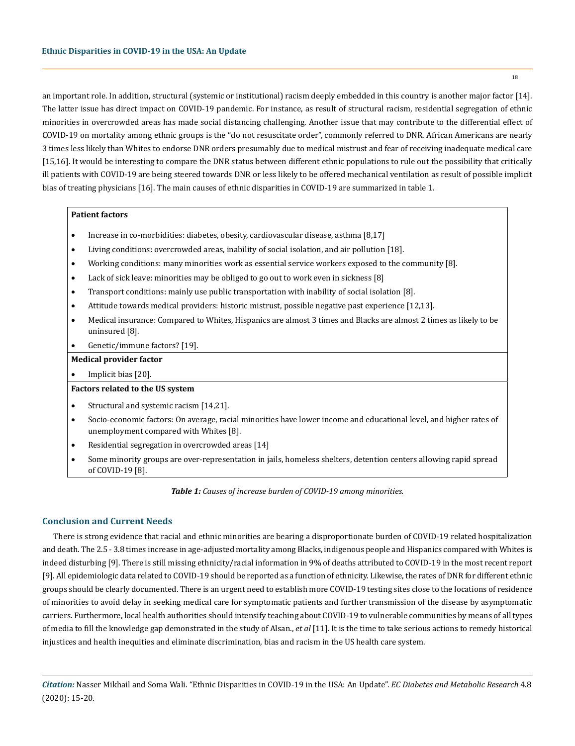an important role. In addition, structural (systemic or institutional) racism deeply embedded in this country is another major factor [14]. The latter issue has direct impact on COVID-19 pandemic. For instance, as result of structural racism, residential segregation of ethnic minorities in overcrowded areas has made social distancing challenging. Another issue that may contribute to the differential effect of COVID-19 on mortality among ethnic groups is the "do not resuscitate order", commonly referred to DNR. African Americans are nearly 3 times less likely than Whites to endorse DNR orders presumably due to medical mistrust and fear of receiving inadequate medical care [15,16]. It would be interesting to compare the DNR status between different ethnic populations to rule out the possibility that critically ill patients with COVID-19 are being steered towards DNR or less likely to be offered mechanical ventilation as result of possible implicit bias of treating physicians [16]. The main causes of ethnic disparities in COVID-19 are summarized in table 1.

## **Patient factors**

- Increase in co-morbidities: diabetes, obesity, cardiovascular disease, asthma [8,17]
- • Living conditions: overcrowded areas, inability of social isolation, and air pollution [18].
- • Working conditions: many minorities work as essential service workers exposed to the community [8].
- Lack of sick leave: minorities may be obliged to go out to work even in sickness [8]
- Transport conditions: mainly use public transportation with inability of social isolation [8].
- Attitude towards medical providers: historic mistrust, possible negative past experience [12,13].
- • Medical insurance: Compared to Whites, Hispanics are almost 3 times and Blacks are almost 2 times as likely to be uninsured [8].
- Genetic/immune factors? [19].

#### **Medical provider factor**

• Implicit bias [20].

# **Factors related to the US system**

- Structural and systemic racism [14,21].
- • Socio-economic factors: On average, racial minorities have lower income and educational level, and higher rates of unemployment compared with Whites [8].
- Residential segregation in overcrowded areas [14]
- Some minority groups are over-representation in jails, homeless shelters, detention centers allowing rapid spread of COVID-19 [8].

*Table 1: Causes of increase burden of COVID-19 among minorities.*

## **Conclusion and Current Needs**

There is strong evidence that racial and ethnic minorities are bearing a disproportionate burden of COVID-19 related hospitalization and death. The 2.5 - 3.8 times increase in age-adjusted mortality among Blacks, indigenous people and Hispanics compared with Whites is indeed disturbing [9]. There is still missing ethnicity/racial information in 9% of deaths attributed to COVID-19 in the most recent report [9]. All epidemiologic data related to COVID-19 should be reported as a function of ethnicity. Likewise, the rates of DNR for different ethnic groups should be clearly documented. There is an urgent need to establish more COVID-19 testing sites close to the locations of residence of minorities to avoid delay in seeking medical care for symptomatic patients and further transmission of the disease by asymptomatic carriers. Furthermore, local health authorities should intensify teaching about COVID-19 to vulnerable communities by means of all types of media to fill the knowledge gap demonstrated in the study of Alsan., *et al* [11]. It is the time to take serious actions to remedy historical injustices and health inequities and eliminate discrimination, bias and racism in the US health care system.

*Citation:* Nasser Mikhail and Soma Wali. "Ethnic Disparities in COVID-19 in the USA: An Update". *EC Diabetes and Metabolic Research* 4.8 (2020): 15-20.

18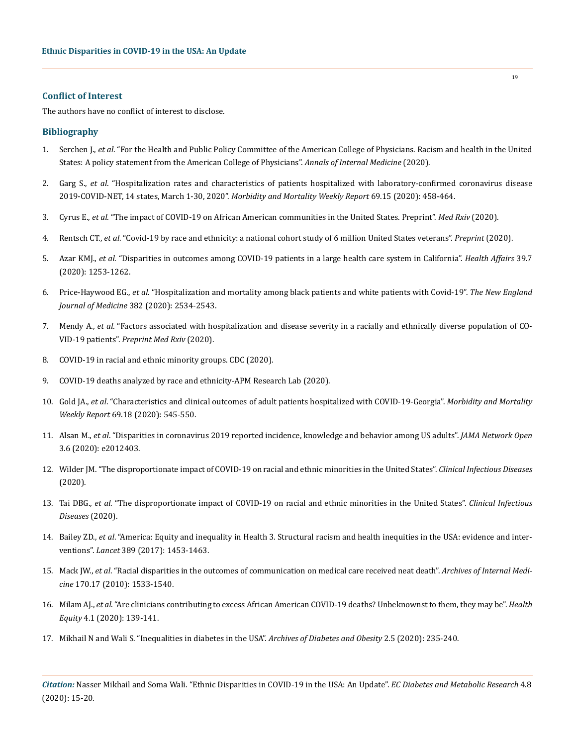## **Conflict of Interest**

The authors have no conflict of interest to disclose.

## **Bibliography**

- 1. Serchen J., *et al*[. "For the Health and Public Policy Committee of the American College of Physicians. Racism and health in the United](https://www.acpjournals.org/doi/10.7326/M20-4195)  [States: A policy statement from the American College of Physicians".](https://www.acpjournals.org/doi/10.7326/M20-4195) *Annals of Internal Medicine* (2020).
- 2. Garg S., *et al*[. "Hospitalization rates and characteristics of patients hospitalized with laboratory-confirmed coronavirus disease](https://www.cdc.gov/mmwr/volumes/69/wr/mm6915e3.htm)  2019-COVID-NET, 14 states, March 1-30, 2020". *[Morbidity and Mortality Weekly Report](https://www.cdc.gov/mmwr/volumes/69/wr/mm6915e3.htm)* 69.15 (2020): 458-464.
- 3. Cyrus E., *et al*[. "The impact of COVID-19 on African American communities in the United States. Preprint".](https://www.medrxiv.org/content/10.1101/2020.05.15.20096552v1) *Med Rxiv* (2020).
- 4. Rentsch CT., *et al*[. "Covid-19 by race and ethnicity: a national cohort study of 6 million United States veterans".](https://www.ncbi.nlm.nih.gov/pmc/articles/PMC7273292/) *Preprint* (2020).
- 5. Azar KMJ., *et al*[. "Disparities in outcomes among COVID-19 patients in a large health care system in California".](https://www.healthaffairs.org/doi/full/10.1377/hlthaff.2020.00598) *Health Affairs* 39.7 [\(2020\): 1253-1262.](https://www.healthaffairs.org/doi/full/10.1377/hlthaff.2020.00598)
- 6. Price-Haywood EG., *et al*[. "Hospitalization and mortality among black patients and white patients with Covid-19".](https://www.nejm.org/doi/full/10.1056/NEJMsa2011686) *The New England [Journal of Medicine](https://www.nejm.org/doi/full/10.1056/NEJMsa2011686)* 382 (2020): 2534-2543.
- 7. Mendy A., *et al*[. "Factors associated with hospitalization and disease severity in a racially and ethnically diverse population of CO-](https://www.medrxiv.org/content/10.1101/2020.06.25.20137323v2)VID-19 patients". *[Preprint Med Rxiv](https://www.medrxiv.org/content/10.1101/2020.06.25.20137323v2)* (2020).
- 8. COVID-19 in racial and ethnic minority groups. CDC (2020).
- 9. COVID-19 deaths analyzed by race and ethnicity-APM Research Lab (2020).
- 10. Gold JA., *et al*[. "Characteristics and clinical outcomes of adult patients hospitalized with COVID-19-Georgia".](https://www.cdc.gov/mmwr/volumes/69/wr/mm6918e1.htm) *Morbidity and Mortality Weekly Report* [69.18 \(2020\): 545-550.](https://www.cdc.gov/mmwr/volumes/69/wr/mm6918e1.htm)
- 11. Alsan M., *et al*[. "Disparities in coronavirus 2019 reported incidence, knowledge and behavior among US adults".](https://jamanetwork.com/journals/jamanetworkopen/fullarticle/2767261) *JAMA Network Open*  [3.6 \(2020\): e2012403.](https://jamanetwork.com/journals/jamanetworkopen/fullarticle/2767261)
- 12. [Wilder JM. "The disproportionate impact of COVID-19 on racial and ethnic minorities in the United States".](https://academic.oup.com/cid/article/doi/10.1093/cid/ciaa815/5860249) *Clinical Infectious Diseases*  [\(2020\).](https://academic.oup.com/cid/article/doi/10.1093/cid/ciaa815/5860249)
- 13. Tai DBG., *et al*[. "The disproportionate impact of COVID-19 on racial and ethnic minorities in the United States".](https://academic.oup.com/cid/article/doi/10.1093/cid/ciaa815/5860249) *Clinical Infectious [Diseases](https://academic.oup.com/cid/article/doi/10.1093/cid/ciaa815/5860249)* (2020).
- 14. Bailey ZD., *et al*[. "America: Equity and inequality in Health 3. Structural racism and health inequities in the USA: evidence and inter](https://pubmed.ncbi.nlm.nih.gov/28402827/)ventions". *Lancet* [389 \(2017\): 1453-1463.](https://pubmed.ncbi.nlm.nih.gov/28402827/)
- 15. Mack JW., *et al*[. "Racial disparities in the outcomes of communication on medical care received neat death".](https://pubmed.ncbi.nlm.nih.gov/20876403/) *Archives of Internal Medicine* [170.17 \(2010\): 1533-1540.](https://pubmed.ncbi.nlm.nih.gov/20876403/)
- 16. Milam AJ., *et al*[. "Are clinicians contributing to excess African American COVID-19 deaths? Unbeknownst to them, they may be".](https://pubmed.ncbi.nlm.nih.gov/32368712/) *Health Equity* [4.1 \(2020\): 139-141.](https://pubmed.ncbi.nlm.nih.gov/32368712/)
- 17. Mikhail N and Wali S. "Inequalities in diabetes in the USA". *Archives of Diabetes and Obesity* 2.5 (2020): 235-240.

*Citation:* Nasser Mikhail and Soma Wali. "Ethnic Disparities in COVID-19 in the USA: An Update". *EC Diabetes and Metabolic Research* 4.8 (2020): 15-20.